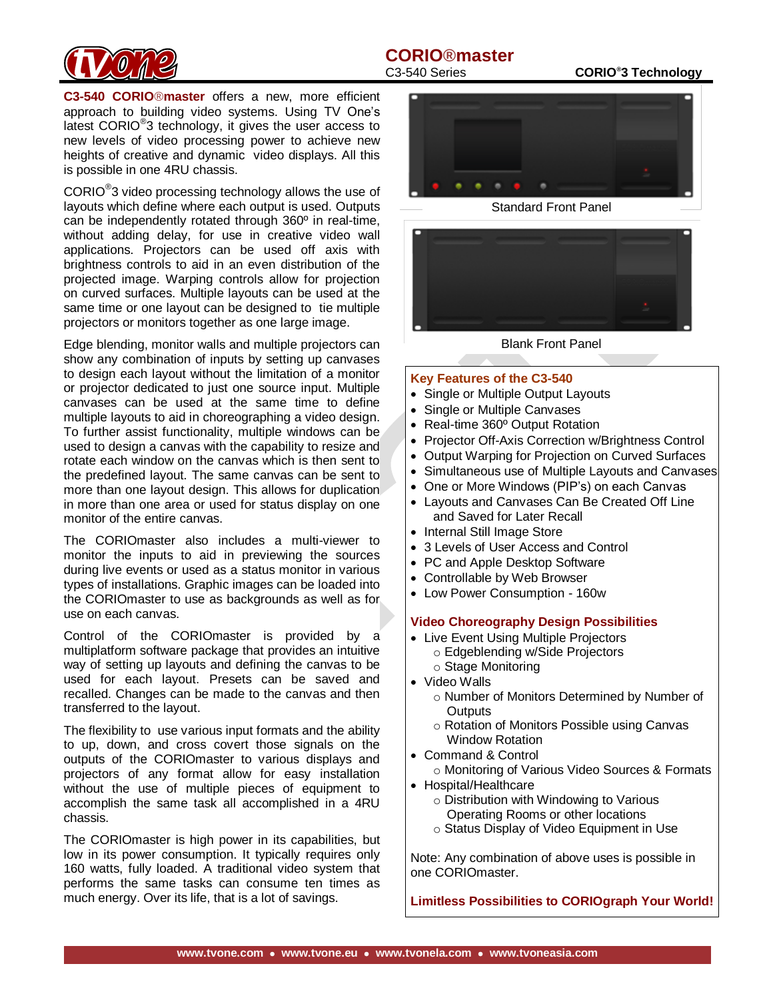## **CORIO®master**



latest CORIO<sup>®</sup>3 technology, it gives the user access to **C3-540 CORIO**®**master** offers a new, more efficient approach to building video systems. Using TV One's new levels of video processing power to achieve new heights of creative and dynamic video displays. All this is possible in one 4RU chassis.

 $CORIO<sup>®</sup>3$  video processing technology allows the use of layouts which define where each output is used. Outputs can be independently rotated through 360º in real-time, without adding delay, for use in creative video wall applications. Projectors can be used off axis with brightness controls to aid in an even distribution of the projected image. Warping controls allow for projection on curved surfaces. Multiple layouts can be used at the same time or one layout can be designed to tie multiple projectors or monitors together as one large image.

Edge blending, monitor walls and multiple projectors can show any combination of inputs by setting up canvases to design each layout without the limitation of a monitor or projector dedicated to just one source input. Multiple canvases can be used at the same time to define multiple layouts to aid in choreographing a video design. To further assist functionality, multiple windows can be used to design a canvas with the capability to resize and rotate each window on the canvas which is then sent to the predefined layout. The same canvas can be sent to more than one layout design. This allows for duplication in more than one area or used for status display on one monitor of the entire canvas.

The CORIOmaster also includes a multi-viewer to monitor the inputs to aid in previewing the sources during live events or used as a status monitor in various types of installations. Graphic images can be loaded into the CORIOmaster to use as backgrounds as well as for use on each canvas.

Control of the CORIOmaster is provided by a multiplatform software package that provides an intuitive way of setting up layouts and defining the canvas to be used for each layout. Presets can be saved and recalled. Changes can be made to the canvas and then transferred to the layout.

The flexibility to use various input formats and the ability to up, down, and cross covert those signals on the outputs of the CORIOmaster to various displays and projectors of any format allow for easy installation without the use of multiple pieces of equipment to accomplish the same task all accomplished in a 4RU chassis.

The CORIOmaster is high power in its capabilities, but low in its power consumption. It typically requires only 160 watts, fully loaded. A traditional video system that performs the same tasks can consume ten times as much energy. Over its life, that is a lot of savings.

C3-540 Series **CORIO®3 Technology**



Standard Front Panel



Blank Front Panel

#### **Key Features of the C3-540**

- Single or Multiple Output Layouts
- Single or Multiple Canvases
- Real-time 360° Output Rotation
- Projector Off-Axis Correction w/Brightness Control
- Output Warping for Projection on Curved Surfaces
- Simultaneous use of Multiple Layouts and Canvases
- One or More Windows (PIP's) on each Canvas
- Layouts and Canvases Can Be Created Off Line and Saved for Later Recall
- Internal Still Image Store
- 3 Levels of User Access and Control
- PC and Apple Desktop Software
- Controllable by Web Browser
- Low Power Consumption 160w

#### **Video Choreography Design Possibilities**

- Live Event Using Multiple Projectors
	- o Edgeblending w/Side Projectors o Stage Monitoring
- Video Walls
	- o Number of Monitors Determined by Number of **Outputs**
	- o Rotation of Monitors Possible using Canvas Window Rotation
- Command & Control
- o Monitoring of Various Video Sources & Formats • Hospital/Healthcare
	- o Distribution with Windowing to Various
		- Operating Rooms or other locations
		- o Status Display of Video Equipment in Use

Note: Any combination of above uses is possible in one CORIOmaster.

**Limitless Possibilities to CORIOgraph Your World!**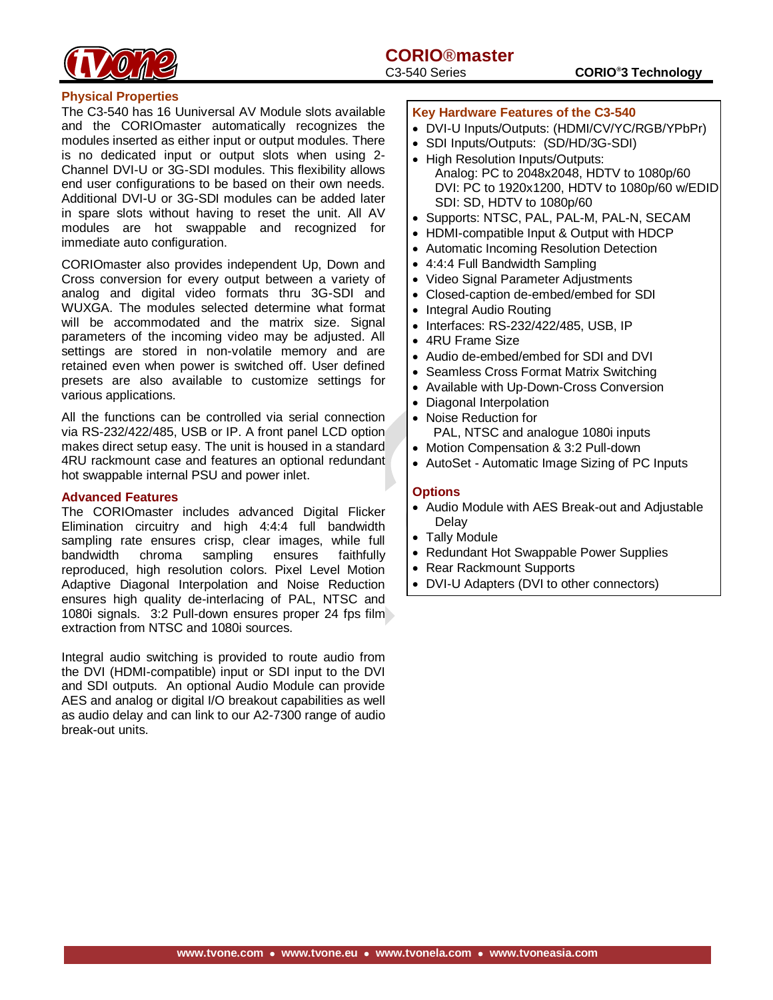

#### **Physical Properties**

The C3-540 has 16 Uuniversal AV Module slots available and the CORIOmaster automatically recognizes the modules inserted as either input or output modules. There is no dedicated input or output slots when using 2- Channel DVI-U or 3G-SDI modules. This flexibility allows end user configurations to be based on their own needs. Additional DVI-U or 3G-SDI modules can be added later in spare slots without having to reset the unit. All AV modules are hot swappable and recognized for immediate auto configuration.

CORIOmaster also provides independent Up, Down and Cross conversion for every output between a variety of analog and digital video formats thru 3G-SDI and WUXGA. The modules selected determine what format will be accommodated and the matrix size. Signal parameters of the incoming video may be adjusted. All settings are stored in non-volatile memory and are retained even when power is switched off. User defined presets are also available to customize settings for various applications.

All the functions can be controlled via serial connection via RS-232/422/485, USB or IP. A front panel LCD option makes direct setup easy. The unit is housed in a standard 4RU rackmount case and features an optional redundant hot swappable internal PSU and power inlet.

#### **Advanced Features**

The CORIOmaster includes advanced Digital Flicker Elimination circuitry and high 4:4:4 full bandwidth sampling rate ensures crisp, clear images, while full bandwidth chroma sampling ensures faithfully reproduced, high resolution colors. Pixel Level Motion Adaptive Diagonal Interpolation and Noise Reduction ensures high quality de-interlacing of PAL, NTSC and 1080i signals. 3:2 Pull-down ensures proper 24 fps film extraction from NTSC and 1080i sources.

Integral audio switching is provided to route audio from the DVI (HDMI-compatible) input or SDI input to the DVI and SDI outputs. An optional Audio Module can provide AES and analog or digital I/O breakout capabilities as well as audio delay and can link to our A2-7300 range of audio break-out units.

#### **Key Hardware Features of the C3-540**

- DVI-U Inputs/Outputs: (HDMI/CV/YC/RGB/YPbPr)
- SDI Inputs/Outputs: (SD/HD/3G-SDI)
- High Resolution Inputs/Outputs: Analog: PC to 2048x2048, HDTV to 1080p/60 DVI: PC to 1920x1200, HDTV to 1080p/60 w/EDID SDI: SD, HDTV to 1080p/60
- Supports: NTSC, PAL, PAL-M, PAL-N, SECAM
- HDMI-compatible Input & Output with HDCP
- Automatic Incoming Resolution Detection
- 4:4:4 Full Bandwidth Sampling
- Video Signal Parameter Adjustments
- Closed-caption de-embed/embed for SDI
- Integral Audio Routing
- Interfaces: RS-232/422/485, USB, IP
- 4RU Frame Size
- Audio de-embed/embed for SDI and DVI
- Seamless Cross Format Matrix Switching
- Available with Up-Down-Cross Conversion
- Diagonal Interpolation
- Noise Reduction for
	- PAL, NTSC and analogue 1080i inputs
- Motion Compensation & 3:2 Pull-down
- AutoSet Automatic Image Sizing of PC Inputs

#### **Options**

- Audio Module with AES Break-out and Adjustable Delay
- Tally Module
- Redundant Hot Swappable Power Supplies
- Rear Rackmount Supports
- DVI-U Adapters (DVI to other connectors)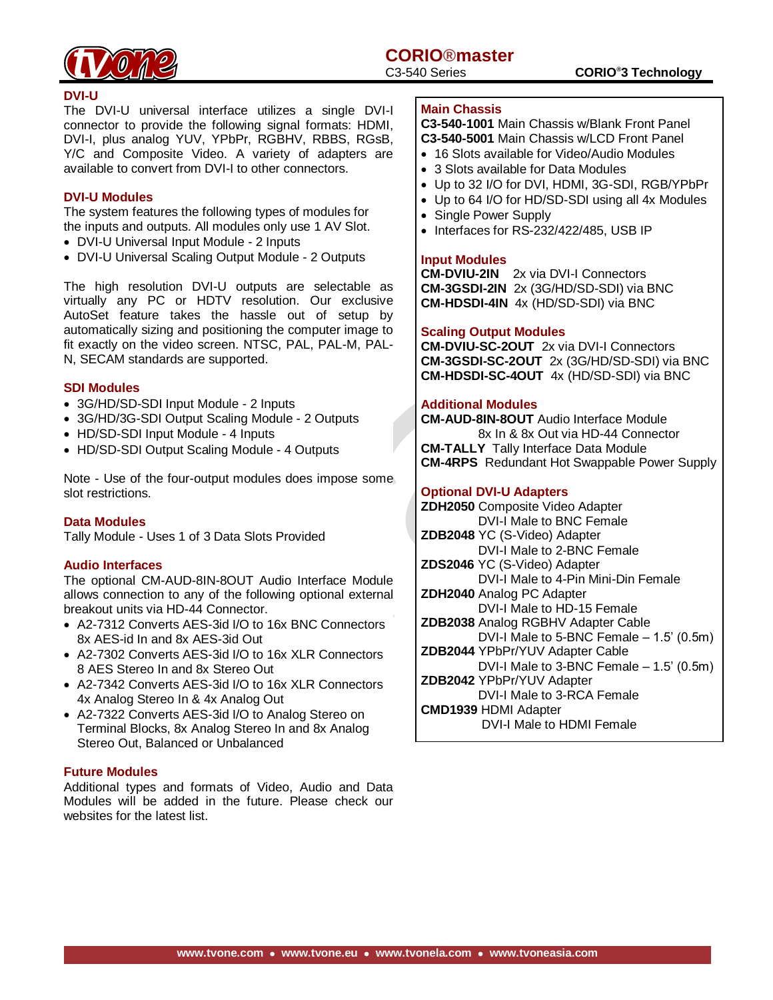

#### **DVI-U**

The DVI-U universal interface utilizes a single DVI-I connector to provide the following signal formats: HDMI, DVI-I, plus analog YUV, YPbPr, RGBHV, RBBS, RGsB, Y/C and Composite Video. A variety of adapters are available to convert from DVI-I to other connectors.

#### **DVI-U Modules**

The system features the following types of modules for the inputs and outputs. All modules only use 1 AV Slot.

- DVI-U Universal Input Module 2 Inputs
- DVI-U Universal Scaling Output Module 2 Outputs

The high resolution DVI-U outputs are selectable as virtually any PC or HDTV resolution. Our exclusive AutoSet feature takes the hassle out of setup by automatically sizing and positioning the computer image to fit exactly on the video screen. NTSC, PAL, PAL-M, PAL-N, SECAM standards are supported.

#### **SDI Modules**

- 3G/HD/SD-SDI Input Module 2 Inputs
- 3G/HD/3G-SDI Output Scaling Module 2 Outputs
- HD/SD-SDI Input Module 4 Inputs
- HD/SD-SDI Output Scaling Module 4 Outputs

Note - Use of the four-output modules does impose some slot restrictions.

#### **Data Modules**

Tally Module - Uses 1 of 3 Data Slots Provided

#### **Audio Interfaces**

The optional CM-AUD-8IN-8OUT Audio Interface Module allows connection to any of the following optional external breakout units via HD-44 Connector.

- A2-7312 Converts AES-3id I/O to 16x BNC Connectors 8x AES-id In and 8x AES-3id Out
- A2-7302 Converts AES-3id I/O to 16x XLR Connectors 8 AES Stereo In and 8x Stereo Out
- A2-7342 Converts AES-3id I/O to 16x XLR Connectors 4x Analog Stereo In & 4x Analog Out
- A2-7322 Converts AES-3id I/O to Analog Stereo on Terminal Blocks, 8x Analog Stereo In and 8x Analog Stereo Out, Balanced or Unbalanced

#### **Future Modules**

Additional types and formats of Video, Audio and Data Modules will be added in the future. Please check our websites for the latest list.

#### **Main Chassis**

**C3-540-1001** Main Chassis w/Blank Front Panel **C3-540-5001** Main Chassis w/LCD Front Panel

- 16 Slots available for Video/Audio Modules
- 3 Slots available for Data Modules
- Up to 32 I/O for DVI, HDMI, 3G-SDI, RGB/YPbPr
- Up to 64 I/O for HD/SD-SDI using all 4x Modules
- Single Power Supply
- Interfaces for RS-232/422/485, USB IP

#### **Input Modules**

**CM-DVIU-2IN** 2x via DVI-I Connectors **CM-3GSDI-2IN** 2x (3G/HD/SD-SDI) via BNC **CM-HDSDI-4IN** 4x (HD/SD-SDI) via BNC

#### **Scaling Output Modules**

**CM-DVIU-SC-2OUT** 2x via DVI-I Connectors **CM-3GSDI-SC-2OUT** 2x (3G/HD/SD-SDI) via BNC **CM-HDSDI-SC-4OUT** 4x (HD/SD-SDI) via BNC

#### **Additional Modules**

**CM-AUD-8IN-8OUT** Audio Interface Module 8x In & 8x Out via HD-44 Connector **CM-TALLY** Tally Interface Data Module **CM-4RPS** Redundant Hot Swappable Power Supply

#### **Optional DVI-U Adapters**

**ZDH2050** Composite Video Adapter DVI-I Male to BNC Female **ZDB2048** YC (S-Video) Adapter DVI-I Male to 2-BNC Female **ZDS2046** YC (S-Video) Adapter DVI-I Male to 4-Pin Mini-Din Female **ZDH2040** Analog PC Adapter DVI-I Male to HD-15 Female **ZDB2038** Analog RGBHV Adapter Cable DVI-I Male to 5-BNC Female – 1.5' (0.5m) **ZDB2044** YPbPr/YUV Adapter Cable DVI-I Male to 3-BNC Female – 1.5' (0.5m) **ZDB2042** YPbPr/YUV Adapter DVI-I Male to 3-RCA Female **CMD1939** HDMI Adapter DVI-I Male to HDMI Female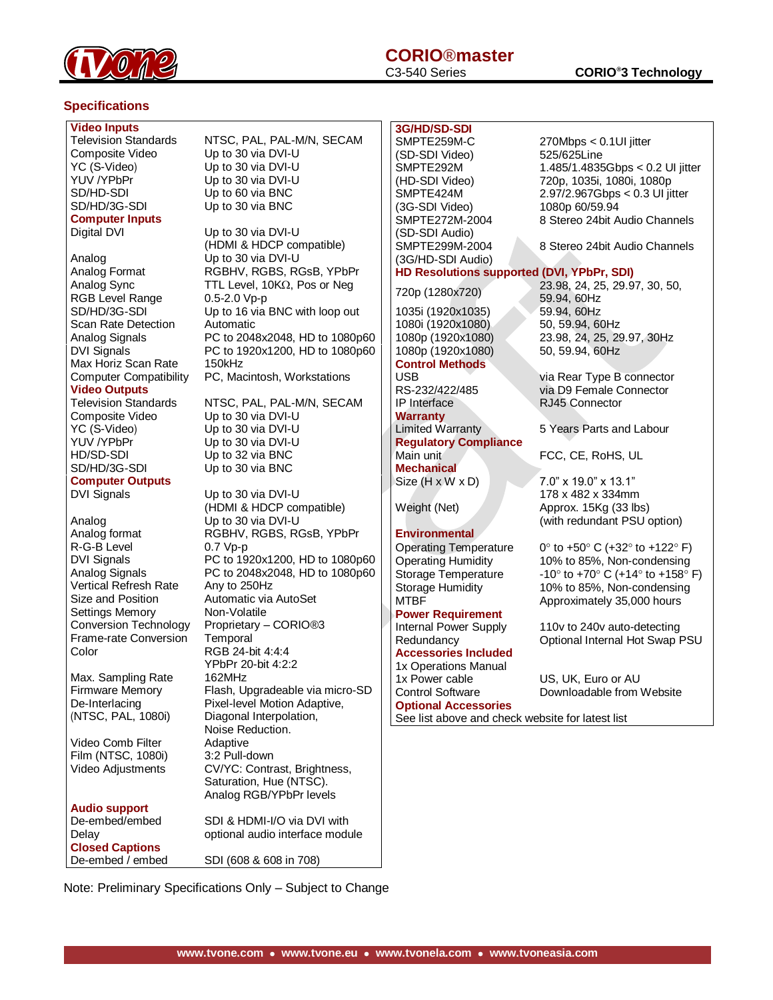

# **CORIO®master**

#### **Specifications**

#### **Video Inputs**

Composite Video Up to 30 via DVI-U YC (S-Video) Up to 30 via DVI-U YUV /YPbPr SD/HD-SDI SD/HD/3G-SDI Up to 30 via BNC **Computer Inputs**

Analog Up to 30 via DVI-U RGB Level Range SD/HD/3G-SDI Scan Rate Detection Automatic Max Horiz Scan Rate 150kHz

#### **Video Outputs**

Composite Video Up to 30 via DVI-U YC (S-Video) Up to 30 via DVI-U YUV /YPbPr HD/SD-SDI SD/HD/3G-SDI Up to 30 via BNC **Computer Outputs**

Analog Up to 30 via DVI-U R-G-B Level 0.7 Vp-p Vertical Refresh Rate Any to 250Hz Settings Memory Non-Volatile Frame-rate Conversion Temporal Color RGB 24-bit 4:4:4

Max. Sampling Rate 162MHz De-Interlacing (NTSC, PAL, 1080i)

Video Comb Filter Adaptive<br>Film (NTSC, 1080i) 3:2 Pull-down Film (NTSC, 1080i)

**Audio support Closed Captions** De-embed / embed SDI (608 & 608 in 708)

Television Standards NTSC, PAL, PAL-M/N, SECAM Up to 30 via DVI-U Up to 60 via BNC

Digital DVI Up to 30 via DVI-U (HDMI & HDCP compatible) Analog Format RGBHV, RGBS, RGsB, YPbPr Analog Sync TTL Level,  $10K\Omega$ , Pos or Neg 0.5-2.0 Vp-p Up to 16 via BNC with loop out Analog Signals PC to 2048x2048, HD to 1080p60<br>DVI Signals PC to 1920x1200, HD to 1080p60 PC to 1920x1200, HD to 1080p60 Computer Compatibility PC, Macintosh, Workstations

Television Standards NTSC, PAL, PAL-M/N, SECAM Up to 30 via DVI-U Up to 32 via BNC

DVI Signals Up to 30 via DVI-U (HDMI & HDCP compatible) Analog format RGBHV, RGBS, RGsB, YPbPr DVI Signals PC to 1920x1200, HD to 1080p60 Analog Signals PC to 2048x2048, HD to 1080p60 Size and Position **Automatic via AutoSet** Conversion Technology Proprietary – CORIO®3 YPbPr 20-bit 4:2:2 Firmware Memory Flash, Upgradeable via micro-SD Pixel-level Motion Adaptive, Diagonal Interpolation, Noise Reduction. Video Adjustments CV/YC: Contrast, Brightness, Saturation, Hue (NTSC). Analog RGB/YPbPr levels De-embed/embed SDI & HDMI-I/O via DVI with Delay **Delay** optional audio interface module

### **3G/HD/SD-SDI**

SMPTE259M-C (SD-SDI Video) SMPTE292M (HD-SDI Video) SMPTE424M (3G-SDI Video) SMPTE272M-2004 (SD-SDI Audio) SMPTE299M-2004 (3G/HD-SDI Audio)

1035i (1920x1035) 59.94, 60Hz 1080i (1920x1080) 50, 59.94, 60Hz 1080p (1920x1080) 50, 59.94, 60Hz **Control Methods**

IP Interface RJ45 Connector **Warranty Regulatory Compliance Mechanical**

**Environmental**<br>Operating Temperature

**Power Requirement Accessories Included**  1x Operations Manual 1x Power cable US, UK, Euro or AU **Optional Accessories** See list above and check website for latest list

270Mbps < 0.1UI jitter 525/625Line 1.485/1.4835Gbps < 0.2 UI jitter 720p, 1035i, 1080i, 1080p 2.97/2.967Gbps < 0.3 UI jitter 1080p 60/59.94 8 Stereo 24bit Audio Channels

8 Stereo 24bit Audio Channels

#### **HD Resolutions supported (DVI, YPbPr, SDI)**

720p (1280x720) 23.98, 24, 25, 29.97, 30, 50, 59.94, 60Hz 1080p (1920x1080) 23.98, 24, 25, 29.97, 30Hz

USB via Rear Type B connector RS-232/422/485 via D9 Female Connector

Limited Warranty 5 Years Parts and Labour

FCC, CE, RoHS, UL

Size (H x W x D) 7.0" x 19.0" x 13.1" 178 x 482 x 334mm Weight (Net) Approx. 15Kg (33 lbs) (with redundant PSU option)

 $0^{\circ}$  to +50 $^{\circ}$  C (+32 $^{\circ}$  to +122 $^{\circ}$  F) Operating Humidity 10% to 85%, Non-condensing Storage Temperature  $-10^\circ$  to +70 $^\circ$  C (+14 $^\circ$  to +158 $^\circ$  F) Storage Humidity 10% to 85%, Non-condensing MTBF Approximately 35,000 hours

Internal Power Supply 110v to 240v auto-detecting Redundancy Optional Internal Hot Swap PSU

Control Software Downloadable from Website

Note: Preliminary Specifications Only – Subject to Change